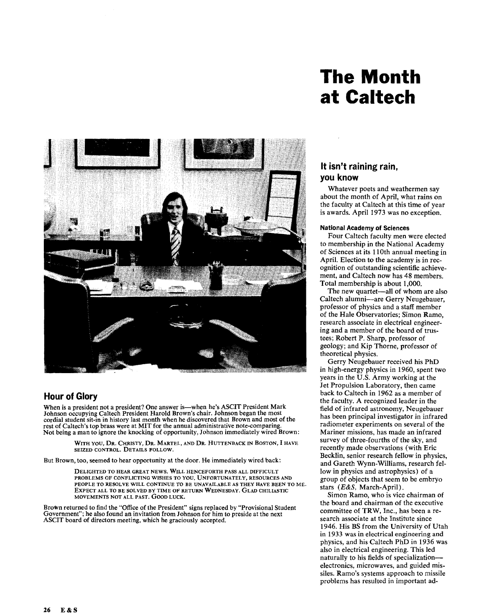# **The Month at Caltech**



## **Hour of Glory**

When is a president not a president? One answer is—when he's ASCIT President Mark Johnson occupying Caltech President Harold Brown's chair. Johnson began the most cordial student sit-in in history last month when he discovered that Brown and most of the rest of Caltech's top brass were at MIT for the annual administrative note-comparing. Not being a man to ignore the knocking of opportunity, Johnson immediately wired Brown:

> WITH YOU, DR. CHRISTY, DR. MARTEL, AND DR. HUTTENBACK IN BOSTON, I HAVE SEIZED CONTROL. DETAILS FOLLOW.

But Brown, too, seemed to hear opportunity at the door. He immediately wired back:

DELIGHTED TO HEAR GREAT NEWS. WILL HENCEFORTH PASS ALL DIFFICULT PROBLEMS OF CONFLICTING WISHES TO YOU. UNFORTUNATELY, RESOURCES AND PEOPLE TO RESOLVE WILL CONTINUE TO BE UNAVAILABLE AS THEY HAVE BEEN TO ME. EXPECT ALL TO BE SOLVED BY TIME OF RETURN WEDNESDAY. GLAD CHILIASTIC MOVEMENTS NOT ALL PAST. GOOD LUCK.

Brown returned to find the "Office of the President" signs replaced by "Provisional Student Government"; he also found an invitation from Johnson for him to preside at the next ASCIT board of directors meeting, which he graciously accepted.

# **It isn't raining rain, you know**

Whatever poets and weathermen say about the month of April, what rains on the faculty at Caltech at this time of year is awards. April 1973 was no exception.

#### **National Academy of Sciences**

Four Caltech faculty men were elected to membership in the National Academy of Sciences at its 110th annual meeting in April. Election to the academy is in recognition of outstanding scientific achievement, and Caltech now has 48 members. Total membership is about 1,000.

The new quartet-all of whom are also Caltech alumni-are Gerry Neugebauer, professor of physics and a staff member of the Hale Observatories; Simon Ramo, research associate in electrical engineering and a member of the board of trustees; Robert P. Sharp, professor of geology; and Kip Thorne, professor of theoretical physics.

Gerry Neugebauer received his PhD in high-energy physics in 1960, spent two years in the U.S. Army working at the Jet Propulsion Laboratory, then came back to Caltech in 1962 as a member of the faculty. A recognized leader in the field of infrared astronomy, Neugebauer has been principal investigator in infrared radiometer experiments on several of the Mariner missions, has made an infrared survey of three-fourths of the sky, and recently made observations (with Eric Becklin, senior research fellow in physics, and Gareth Wynn-Williams, research fellow in physics and astrophysics) of a group of objects that seem to be embryo stars *(E&S,* March-April) .

Simon Ramo, who is vice chairman of the board and chairman of the executive committee of TRW, Inc., has been a research associate at the Institute since 1946. His BS from the University of Utah in 1933 **was** in electrical engineering and physics, and his Caltech PhD in 1936 was also in electrical engineering. This led naturally to his fields of specializationelectronics, microwaves, and guided missiles. Ramo's systems approach to missile problems has resulted in important ad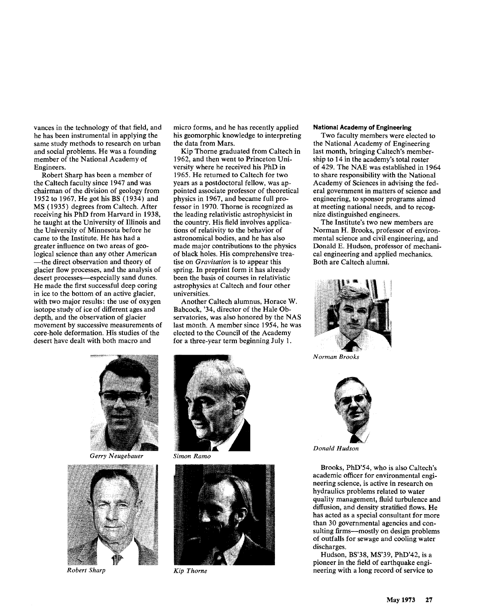vances in the technology of that field, and he has been instrumental in applying the same study methods to research on urban and social problems. He was a founding member of the National Academy of Engineers.

Robert Sharp has been a member of the Caltech faculty since 1947 and was chairman of the division of geology from 1952 to 1967. He got his BS (1934) and MS (1935) degrees from Caltech. After receiving his PhD from Harvard in 1938, he taught at the University of Illinois and the University of Minnesota before he came to the Institute. He has had a greater influence on two areas of geological science than any other American -the direct observation and theory of glacier flow processes, and the analysis of desert processes-especially sand dunes. He made the first successful deep coring in ice to the bottom of an active glacier, with two major results: the use of oxygen isotope study of ice of different ages and depth, and the observation of glacier movement by successive measurements of core-hole deformation. His studies of the desert have dealt with both macro and

micro forms, and he has recently applied his geomorphic knowledge to interpreting the data from Mars.

Kip Thorne graduated from Caltech in 1962, and then went to Princeton University where he received his PhD in 1965. He returned to Caltech for two years as a postdoctoral fellow, was appointed associate professor of theoretical physics in 1967, and became full professor in 1970. Thorne is recognized as the leading relativistic astrophysicist in the country. His field involves applications of relativity to the behavior of astronomical bodies, and he has also made major contributions to the physics of black holes. His comprehensive treatise on *Gravitation* is to appear this spring. In preprint form it has already been the basis of courses in relativistic astrophysics at Caltech and four other universities.

Another Caltech alumnus, Horace W. Babcock, '34, director of the Hale Observatories, was also honored by the NAS last month. A member since 1954, he was elected to the Council of the Academy for a three-year term beginning July 1.

*Gerry Neugebauer Simon Ramo* 



*Robert Sharp Kip Thorne* 





#### **National Academy of Engineering**

Two faculty members were elected to the National Academy of Engineering last month, bringing Caltech's membership to 14 in the academy's total roster of 429. The NAE was established in 1964 to share responsibility with the National Academy of Sciences in advising the federal government in matters of science and engineering, to sponsor programs aimed at meeting national needs, and to recognize distinguished engineers.

The Institute's two new members are Norman H. Brooks, professor of environmental science and civil engineering, and Donald E. Hudson, professor of mechanical engineering and applied mechanics. Both are Caltech alumni.



*Norman Brooks* 



*Donald Hudson* 

Brooks, PhD'54, who is also Caltech's academic officer for environmental engineering science, is active in research on hydraulics problems related to water quality management, fluid turbulence and diffusion, and density stratified flows. He has acted as a special consultant for more than 30 governmental agencies and consulting firms—mostly on design problems of outfalls for sewage and cooling water discharges.

Hudson, BS'38, MS'39, PhD'42, is a pioneer in the field of earthquake engineering with a long record of service to